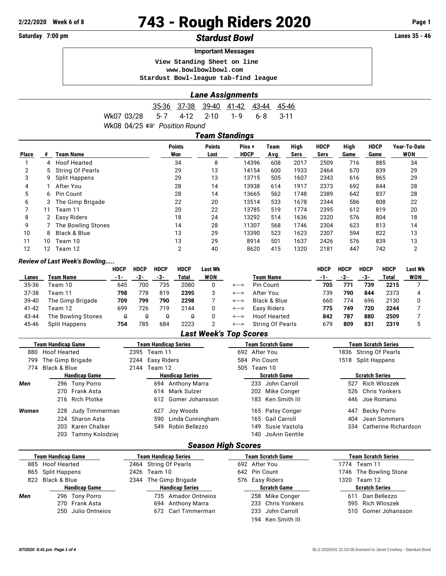# **2/22/2020 Week 6 of 8 743 - Rough Riders 2020 Page 1**

# Saturday 7:00 pm **Stardust Bowl Standust Bowl Constant Account 25 - 46**

#### **Important Messages**

 **View Standing Sheet on line <www.bowlbowlbowl.com>**

 **Stardust Bowl-league tab-find league**

### *Lane Assignments*

|                                        |  |  | 35-36 37-38 39-40 41-42 43-44 45-46 |  |
|----------------------------------------|--|--|-------------------------------------|--|
| Wk07 03/28 5-7 4-12 2-10 1-9 6-8 3-11  |  |  |                                     |  |
| Wk08 04/25 $\mathbb{R}$ Position Round |  |  |                                     |  |

|              | <b>Team Standings</b> |                      |                      |                       |                      |             |              |                     |              |                     |                            |  |
|--------------|-----------------------|----------------------|----------------------|-----------------------|----------------------|-------------|--------------|---------------------|--------------|---------------------|----------------------------|--|
| <b>Place</b> |                       | <b>Team Name</b>     | <b>Points</b><br>Won | <b>Points</b><br>Lost | Pins+<br><b>HDCP</b> | Team<br>Avg | High<br>Sers | <b>HDCP</b><br>Sers | High<br>Game | <b>HDCP</b><br>Game | Year-To-Date<br><b>WON</b> |  |
|              | 4                     | <b>Hoof Hearted</b>  | 34                   | 8                     | 14396                | 608         | 2017         | 2509                | 716          | 885                 | 34                         |  |
| 2            | 5                     | String Of Pearls     | 29                   | 13                    | 14154                | 600         | 1933         | 2464                | 670          | 839                 | 29                         |  |
| 3            | 9                     | <b>Split Happens</b> | 29                   | 13                    | 13715                | 505         | 1607         | 2343                | 616          | 865                 | 29                         |  |
| 4            |                       | After You            | 28                   | 14                    | 13938                | 614         | 1917         | 2373                | 692          | 844                 | 28                         |  |
| 5            | 6                     | Pin Count            | 28                   | 14                    | 13665                | 562         | 1748         | 2389                | 642          | 837                 | 28                         |  |
| 6            | 3                     | The Gimp Brigade     | 22                   | 20                    | 13514                | 533         | 1678         | 2344                | 586          | 808                 | 22                         |  |
|              | 11                    | Team 11              | 20                   | 22                    | 13785                | 519         | 1774         | 2395                | 612          | 819                 | 20                         |  |
| 8            |                       | Easy Riders          | 18                   | 24                    | 13292                | 514         | 1636         | 2320                | 576          | 804                 | 18                         |  |
| 9            |                       | The Bowling Stones   | 14                   | 28                    | 11307                | 568         | 1746         | 2304                | 623          | 813                 | 14                         |  |
| 10           | 8                     | Black & Blue         | 13                   | 29                    | 13390                | 523         | 1623         | 2307                | 594          | 822                 | 13                         |  |
| 11           | 10                    | Team 10              | 13                   | 29                    | 8914                 | 501         | 1637         | 2426                | 576          | 839                 | 13                         |  |
| 12           | 12                    | Team 12              | $\overline{2}$       | 40                    | 8620                 | 415         | 1320         | 2181                | 447          | 742                 | 2                          |  |

#### *Review of Last Week's Bowling.....*

|       |                      | <b>HDCP</b> | <b>HDCP</b> | <b>HDCP</b> | <b>HDCP</b> | Last Wk    |       |                  | HDCP | <b>HDCP</b> | <b>HDCP</b> | <b>HDCP</b> | <b>Last Wk</b> |
|-------|----------------------|-------------|-------------|-------------|-------------|------------|-------|------------------|------|-------------|-------------|-------------|----------------|
| Lanes | Team Name            | $-1-$       | -2-         | -3-         | Total       | <b>WON</b> |       | <b>Team Name</b> | -1-  | -2-         | -3-         | Total       | <b>WON</b>     |
| 35-36 | Team 10              | 645         | 700         | 735         | 2080        |            | <---> | Pin Count        | 705  | 771         | 739         | 2215        |                |
| 37-38 | Feam 11              | 798         | 778         | 819         | 2395        |            | <---> | After You        | 739  | 790         | 844         | 2373        |                |
| 39-40 | The Gimp Brigade     | 709         | 799         | 790         | 2298        |            | <---> | Black & Blue     | 660  | 774         | 696         | 2130        |                |
| 41-42 | Feam 12              | 699         | 726         | 719         | 2144        |            | <---> | Easy Riders      | 775  | 749         | 720         | 2244        |                |
| 43-44 | The Bowling Stones   | θ           |             | 0           | 0           |            | <---> | Hoof Hearted     | 842  | 787         | 880         | 2509        |                |
| 45-46 | <b>Split Happens</b> | 754         | 785         | 684         | 2223        |            | <---> | String Of Pearls | 679  | 809         | 831         | 2319        |                |

## *Last Week's Top Scores*

|       | Team Handicap Game    |      | Team Handicap Series          | Team Scratch Game           | Team Scratch Series         |  |  |  |
|-------|-----------------------|------|-------------------------------|-----------------------------|-----------------------------|--|--|--|
| 880   | <b>Hoof Hearted</b>   | 2395 | Team 11                       | 692 After You               | String Of Pearls<br>1836    |  |  |  |
| 799   | The Gimp Brigade      | 2244 | Easy Riders                   | Pin Count<br>584            | 1518<br>Split Happens       |  |  |  |
| 774   | Black & Blue          | 2144 | Team 12                       | Team 10<br>505              |                             |  |  |  |
|       | <b>Handicap Game</b>  |      | <b>Handicap Series</b>        | <b>Scratch Game</b>         | <b>Scratch Series</b>       |  |  |  |
| Men   | 296 Tony Porro        |      | 694 Anthony Marra             | John Carroll<br>233         | Rich Wloszek<br>527         |  |  |  |
|       | 270 Frank Asta        |      | Mark Sulzer<br>614            | 202<br>Mike Conger          | <b>Chris Yonkers</b><br>526 |  |  |  |
|       | 216 Rich Plotke       |      | Gomer Johansson<br>612        | Ken Smith III<br>183        | Joe Romano<br>446           |  |  |  |
| Women | Judy Timmerman<br>228 |      | Joy Woods<br>627              | 165 Patsy Conger            | Becky Porro<br>447          |  |  |  |
|       | Sharon Asta<br>224    |      | Linda Cunningham<br>590       | <b>Gail Carroll</b><br>165  | Jean Sommers<br>404         |  |  |  |
|       | 203<br>Karen Chalker  |      | Robin Bellezzo<br>549         | Susie Vastola<br>149        | Catherine Richardson<br>334 |  |  |  |
|       | 203 Tammy Kolodziej   |      |                               | JoAnn Gentile<br>140        |                             |  |  |  |
|       |                       |      | <b>Season High Scores</b>     |                             |                             |  |  |  |
|       | Team Handicap Game    |      | Team Handicap Series          | <b>Team Scratch Game</b>    | <b>Team Scratch Series</b>  |  |  |  |
| 885   | <b>Hoof Hearted</b>   |      | 2464 String Of Pearls         | 692 After You               | 1774 Team 11                |  |  |  |
| 865   | Split Happens         | 2426 | Team 10                       | 642<br>Pin Count            | 1746<br>The Bowling Stone   |  |  |  |
| 822   | Black & Blue          | 2344 | The Gimp Brigade              | 576 Easy Riders             | 1320 Team 12                |  |  |  |
|       | <b>Handicap Game</b>  |      | <b>Handicap Series</b>        | <b>Scratch Game</b>         | <b>Scratch Series</b>       |  |  |  |
| Men   | 296 Tony Porro        |      | 735<br><b>Amador Ontneios</b> | Mike Conger<br>258          | Dan Bellezzo<br>611         |  |  |  |
|       | 270 Frank Asta        |      | 694 Anthony Marra             | <b>Chris Yonkers</b><br>233 | Rich Wloszek<br>595         |  |  |  |

194 Ken Smith III

250 Julio Ontneios 672 Carl Timmerman 233 John Carroll 510 Gomer Johansson

270 Frank Asta 694 Anthony Marra 233 Chris Yonkers 595 Rich Wloszek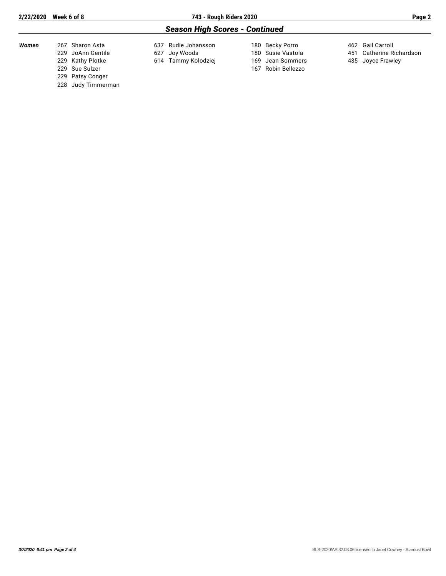## *Season High Scores - Continued*

| Women | 267 Sharon Asta    | 637 Rudie Johansson | 180 Becky Porro    | 462 Gail Carroll         |
|-------|--------------------|---------------------|--------------------|--------------------------|
|       | 229 JoAnn Gentile  | 627 Joy Woods       | 180 Susie Vastola  | 451 Catherine Richardson |
|       | 229 Kathy Plotke   | 614 Tammy Kolodziej | 169 Jean Sommers   | 435 Joyce Frawley        |
|       | 229 Sue Sulzer     |                     | 167 Robin Bellezzo |                          |
|       | 229 Patsy Conger   |                     |                    |                          |
|       | 228 Judy Timmerman |                     |                    |                          |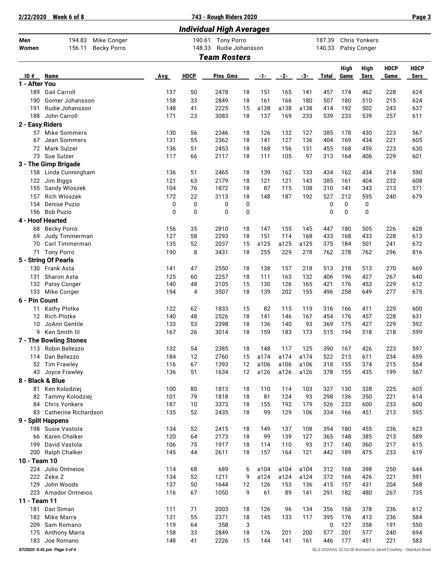| 2/22/2020                       | Week 6 of 8                             |                                   |            |             | 743 - Rough Riders 2020              |             |            |            |            |                  |            |                               |             | Page 3                                                        |
|---------------------------------|-----------------------------------------|-----------------------------------|------------|-------------|--------------------------------------|-------------|------------|------------|------------|------------------|------------|-------------------------------|-------------|---------------------------------------------------------------|
| <b>Individual High Averages</b> |                                         |                                   |            |             |                                      |             |            |            |            |                  |            |                               |             |                                                               |
| Men<br>Women                    | 194.83<br>156.11                        | Mike Conger<br><b>Becky Porro</b> |            | 148.33      | 190.61 Tony Porro<br>Rudie Johansson |             |            |            |            | 187.39<br>140.33 |            | Chris Yonkers<br>Patsy Conger |             |                                                               |
|                                 |                                         |                                   |            |             | <b>Team Rosters</b>                  |             |            |            |            |                  |            |                               |             |                                                               |
|                                 |                                         |                                   |            |             |                                      |             |            |            |            |                  | High       | <b>High</b>                   | <b>HDCP</b> | <b>HDCP</b>                                                   |
| ID#<br>1 - After You            | <b>Name</b>                             |                                   | Avg        | <b>HDCP</b> | Pins Gms                             |             | -1-        | $-2-$      | $-3-$      | <b>Total</b>     | Game       | <b>Sers</b>                   | Game        | Sers                                                          |
|                                 | 189 Gail Carroll                        |                                   | 137        | 50          | 2478                                 | 18          | 151        | 165        | 141        | 457              | 174        | 462                           | 228         | 624                                                           |
| 190                             | Gomer Johansson                         |                                   | 158        | 33          | 2849                                 | 18          | 161        | 166        | 180        | 507              | 180        | 510                           | 215         | 624                                                           |
| 191                             | Rudie Johansson                         |                                   | 148        | 41          | 2225                                 | 15          | a138       | a138       | a138       | 414              | 192        | 502                           | 243         | 637                                                           |
| 188                             | John Carroll                            |                                   | 171        | 23          | 3083                                 | 18          | 137        | 169        | 233        | 539              | 233        | 539                           | 257         | 611                                                           |
| 2 - Easy Riders                 |                                         |                                   |            |             |                                      |             |            |            |            |                  |            |                               |             |                                                               |
| 57                              | Mike Sommers                            |                                   | 130        | 56          | 2346                                 | 18          | 126        | 132        | 127        | 385              | 178        | 430                           | 223         | 567                                                           |
| 67                              | Jean Sommers                            |                                   | 131        | 55          | 2362                                 | 18          | 141        | 127        | 136        | 404              | 169        | 434                           | 221         | 605                                                           |
| 72                              | Mark Sulzer                             |                                   | 136        | 51          | 2453                                 | 18          | 168        | 156        | 131        | 455              | 168        | 459                           | 223         | 630                                                           |
|                                 | 73 Sue Sulzer                           |                                   | 117        | 66          | 2117                                 | 18          | 111        | 105        | 97         | 313              | 164        | 406                           | 229         | 601                                                           |
|                                 | 3 - The Gimp Brigade                    |                                   |            |             |                                      |             |            |            |            |                  |            |                               |             |                                                               |
| 158                             | Linda Cunningham                        |                                   | 136        | 51<br>63    | 2465<br>2179                         | 18          | 139<br>121 | 162<br>121 | 133<br>143 | 434              | 162        | 434                           | 214<br>232  | 590<br>608                                                    |
| 122<br>155                      | Jim Biggs<br>Sandy Wloszek              |                                   | 121<br>104 | 76          | 1872                                 | 18<br>18    | 87         | 115        | 108        | 385<br>310       | 161<br>141 | 404<br>343                    | 213         | 571                                                           |
| 157                             | <b>Rich Wloszek</b>                     |                                   | 172        | 22          | 3113                                 | 18          | 148        | 187        | 192        | 527              | 212        | 595                           | 240         | 679                                                           |
| 154                             | Denise Puzio                            |                                   | 0          | 0           | 0                                    | 0           |            |            |            | 0                | 0          | 0                             |             |                                                               |
| 156                             | <b>Bob Puzio</b>                        |                                   | 0          | 0           | $\mathbf 0$                          | $\mathbf 0$ |            |            |            | $\mathbf 0$      | $\Omega$   | 0                             |             |                                                               |
|                                 | 4 - Hoof Hearted                        |                                   |            |             |                                      |             |            |            |            |                  |            |                               |             |                                                               |
| 68                              | <b>Becky Porro</b>                      |                                   | 156        | 35          | 2810                                 | 18          | 147        | 155        | 145        | 447              | 180        | 505                           | 226         | 628                                                           |
| 69                              | Judy Timmerman                          |                                   | 127        | 58          | 2293                                 | 18          | 151        | 114        | 168        | 433              | 168        | 433                           | 228         | 613                                                           |
| 70                              | Carl Timmerman                          |                                   | 135        | 52          | 2037                                 | 15          | a125       | a125       | a125       | 375              | 184        | 501                           | 241         | 672                                                           |
| 71                              | <b>Tony Porro</b>                       |                                   | 190        | 8           | 3431                                 | 18          | 255        | 229        | 278        | 762              | 278        | 762                           | 296         | 816                                                           |
|                                 | 5 - String Of Pearls                    |                                   |            |             |                                      |             |            |            |            |                  |            |                               |             |                                                               |
| 130                             | Frank Asta                              |                                   | 141        | 47          | 2550                                 | 18          | 138        | 157        | 218        | 513              | 218        | 513                           | 270         | 669                                                           |
| 131                             | Sharon Asta                             |                                   | 125        | 60          | 2257                                 | 18          | 111        | 163        | 132        | 406              | 196        | 427                           | 267         | 640                                                           |
| 132<br>133                      | Patsy Conger                            |                                   | 140<br>194 | 48<br>4     | 2105<br>3507                         | 15<br>18    | 130<br>139 | 126<br>202 | 165<br>155 | 421<br>496       | 176<br>258 | 453<br>649                    | 229<br>277  | 612<br>675                                                    |
| 6 - Pin Count                   | Mike Conger                             |                                   |            |             |                                      |             |            |            |            |                  |            |                               |             |                                                               |
| 11                              | <b>Kathy Plotke</b>                     |                                   | 122        | 62          | 1833                                 | 15          | 82         | 115        | 119        | 316              | 166        | 411                           | 229         | 600                                                           |
| 12                              | <b>Rich Plotke</b>                      |                                   | 140        | 48          | 2526                                 | 18          | 141        | 146        | 167        | 454              | 176        | 457                           | 228         | 631                                                           |
| 10                              | JoAnn Gentile                           |                                   | 133        | 53          | 2398                                 | 18          | 136        | 140        | 93         | 369              | 175        | 427                           | 229         | 592                                                           |
| 9                               | Ken Smith III                           |                                   | 167        | 26          | 3014                                 | 18          | 159        | 183        | 173        | 515              | 194        | 518                           | 218         | 599                                                           |
|                                 | 7 - The Bowling Stones                  |                                   |            |             |                                      |             |            |            |            |                  |            |                               |             |                                                               |
|                                 | 113 Robin Bellezzo                      |                                   | 132        | 54          | 2385                                 | 18          | 148        | 117        | 125        | 390              | 167        | 426                           | 223         | 597                                                           |
| 114                             | Dan Bellezzo                            |                                   | 184        | 12          | 2760                                 | 15          | a174       | a174       | a174       | 522              | 213        | 611                           | 234         | 659                                                           |
| 52                              | <b>Tim Frawley</b>                      |                                   | 116        | 67          | 1393                                 | 12          | a106       | a106       | a106       | 318              | 155        | 374                           | 215         | 554                                                           |
| 43                              | Joyce Frawley                           |                                   | 136        | 51          | 1634                                 | 12          | a126       | a126       | a126       | 378              | 155        | 435                           | 199         | 567                                                           |
|                                 | 8 - Black & Blue                        |                                   |            |             |                                      |             |            |            |            |                  |            |                               |             |                                                               |
| 81                              | Ken Kolodziej                           |                                   | 100        | 80          | 1813                                 | 18          | 110        | 114        | 103        | 327              | 130        | 328                           | 225         | 605                                                           |
| 82<br>84                        | Tammy Kolodziej<br><b>Chris Yonkers</b> |                                   | 101<br>187 | 79<br>10    | 1818<br>3373                         | 18<br>18    | 81<br>155  | 124<br>192 | 93<br>179  | 298<br>526       | 136<br>233 | 350<br>600                    | 221<br>233  | 614<br>600                                                    |
| 83                              | Catherine Richardson                    |                                   | 135        | 52          | 2435                                 | 18          | 99         | 129        | 106        | 334              | 166        | 451                           | 213         | 595                                                           |
|                                 | 9 - Split Happens                       |                                   |            |             |                                      |             |            |            |            |                  |            |                               |             |                                                               |
| 198                             | Susie Vastola                           |                                   | 134        | 52          | 2415                                 | 18          | 149        | 137        | 108        | 394              | 180        | 455                           | 236         | 623                                                           |
| 66                              | Karen Chalker                           |                                   | 120        | 64          | 2173                                 | 18          | 99         | 139        | 127        | 365              | 148        | 385                           | 213         | 589                                                           |
| 199                             | David Vastola                           |                                   | 106        | 75          | 1917                                 | 18          | 114        | 110        | 93         | 317              | 140        | 360                           | 217         | 615                                                           |
| 200                             | Ralph Chalker                           |                                   | 145        | 44          | 2611                                 | 18          | 157        | 164        | 121        | 442              | 189        | 475                           | 233         | 619                                                           |
| 10 - Team 10                    |                                         |                                   |            |             |                                      |             |            |            |            |                  |            |                               |             |                                                               |
| 224                             | Julio Ontneios                          |                                   | 114        | 68          | 689                                  | 6           | a104       | a104       | a104       | 312              | 168        | 398                           | 250         | 644                                                           |
| 222                             | Zeke Z                                  |                                   | 134        | 52          | 1211                                 | 9           | a124       | a124       | a124       | 372              | 166        | 426                           | 221         | 591                                                           |
| 129                             | John Woods                              |                                   | 137        | 50          | 1644                                 | 12          | 126        | 153        | 136        | 415              | 157        | 431                           | 204         | 568                                                           |
| 223                             | <b>Amador Ontneios</b>                  |                                   | 116        | 67          | 1050                                 | 9           | 61         | 89         | 141        | 291              | 182        | 480                           | 267         | 735                                                           |
| 11 - Team 11                    |                                         |                                   |            |             |                                      |             |            |            |            |                  |            |                               |             |                                                               |
| 181                             | Dan Siman                               |                                   | 111        | 71          | 2003                                 | 18          | 126        | 96         | 134        | 356              | 158        | 378                           | 236         | 612                                                           |
| 182                             | Mike Marra                              |                                   | 131<br>119 | 55          | 2371<br>358                          | 18          | 145        | 133        | 117        | 395              | 176<br>127 | 413<br>358                    | 236<br>191  | 584                                                           |
| 209<br>175                      | Sam Romano<br>Anthony Marra             |                                   | 158        | 64<br>33    | 2849                                 | 3<br>18     | 176        | 201        | 200        | 0<br>577         | 201        | 577                           | 240         | 550<br>694                                                    |
| 183                             | Joe Romano                              |                                   | 148        | 41          | 2226                                 | 15          | 144        | 141        | 161        | 446              | 177        | 451                           | 221         | 583                                                           |
|                                 | 3/7/2020 6:41 pm Page 3 of 4            |                                   |            |             |                                      |             |            |            |            |                  |            |                               |             | BLS-2020/AS 32.03.06 licensed to Janet Cowhey - Stardust Bowl |